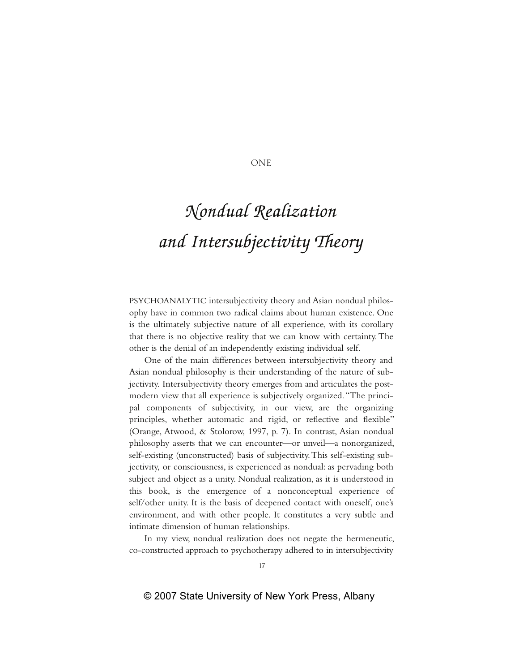ONE

# *Nondual Realization and Intersubjectivity Theory*

PSYCHOANALYTIC intersubjectivity theory and Asian nondual philosophy have in common two radical claims about human existence. One is the ultimately subjective nature of all experience, with its corollary that there is no objective reality that we can know with certainty.The other is the denial of an independently existing individual self.

One of the main differences between intersubjectivity theory and Asian nondual philosophy is their understanding of the nature of subjectivity. Intersubjectivity theory emerges from and articulates the postmodern view that all experience is subjectively organized."The principal components of subjectivity, in our view, are the organizing principles, whether automatic and rigid, or reflective and flexible" (Orange, Atwood, & Stolorow, 1997, p. 7). In contrast, Asian nondual philosophy asserts that we can encounter—or unveil—a nonorganized, self-existing (unconstructed) basis of subjectivity.This self-existing subjectivity, or consciousness, is experienced as nondual: as pervading both subject and object as a unity. Nondual realization, as it is understood in this book, is the emergence of a nonconceptual experience of self/other unity. It is the basis of deepened contact with oneself, one's environment, and with other people. It constitutes a very subtle and intimate dimension of human relationships.

In my view, nondual realization does not negate the hermeneutic, co-constructed approach to psychotherapy adhered to in intersubjectivity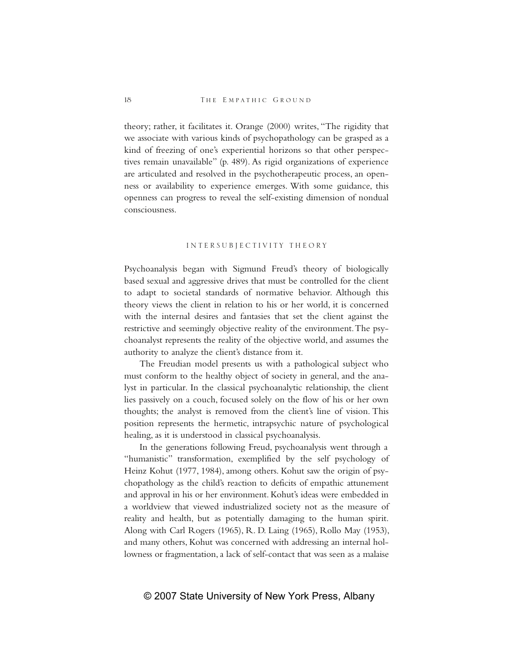theory; rather, it facilitates it. Orange (2000) writes, "The rigidity that we associate with various kinds of psychopathology can be grasped as a kind of freezing of one's experiential horizons so that other perspectives remain unavailable" (p. 489). As rigid organizations of experience are articulated and resolved in the psychotherapeutic process, an openness or availability to experience emerges. With some guidance, this openness can progress to reveal the self-existing dimension of nondual consciousness.

#### INTERSUBJECTIVITY THEORY

Psychoanalysis began with Sigmund Freud's theory of biologically based sexual and aggressive drives that must be controlled for the client to adapt to societal standards of normative behavior. Although this theory views the client in relation to his or her world, it is concerned with the internal desires and fantasies that set the client against the restrictive and seemingly objective reality of the environment.The psychoanalyst represents the reality of the objective world, and assumes the authority to analyze the client's distance from it.

The Freudian model presents us with a pathological subject who must conform to the healthy object of society in general, and the analyst in particular. In the classical psychoanalytic relationship, the client lies passively on a couch, focused solely on the flow of his or her own thoughts; the analyst is removed from the client's line of vision. This position represents the hermetic, intrapsychic nature of psychological healing, as it is understood in classical psychoanalysis.

In the generations following Freud, psychoanalysis went through a "humanistic" transformation, exemplified by the self psychology of Heinz Kohut (1977, 1984), among others. Kohut saw the origin of psychopathology as the child's reaction to deficits of empathic attunement and approval in his or her environment. Kohut's ideas were embedded in a worldview that viewed industrialized society not as the measure of reality and health, but as potentially damaging to the human spirit. Along with Carl Rogers (1965), R. D. Laing (1965), Rollo May (1953), and many others, Kohut was concerned with addressing an internal hollowness or fragmentation, a lack of self-contact that was seen as a malaise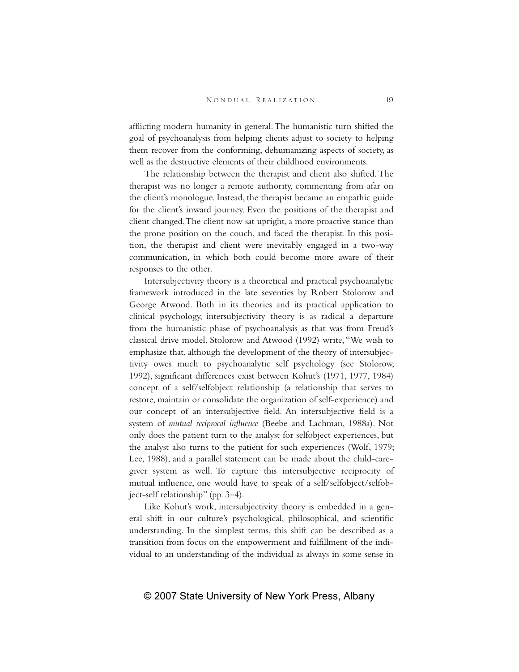afflicting modern humanity in general.The humanistic turn shifted the goal of psychoanalysis from helping clients adjust to society to helping them recover from the conforming, dehumanizing aspects of society, as well as the destructive elements of their childhood environments.

The relationship between the therapist and client also shifted. The therapist was no longer a remote authority, commenting from afar on the client's monologue. Instead, the therapist became an empathic guide for the client's inward journey. Even the positions of the therapist and client changed.The client now sat upright, a more proactive stance than the prone position on the couch, and faced the therapist. In this position, the therapist and client were inevitably engaged in a two-way communication, in which both could become more aware of their responses to the other.

Intersubjectivity theory is a theoretical and practical psychoanalytic framework introduced in the late seventies by Robert Stolorow and George Atwood. Both in its theories and its practical application to clinical psychology, intersubjectivity theory is as radical a departure from the humanistic phase of psychoanalysis as that was from Freud's classical drive model. Stolorow and Atwood (1992) write, "We wish to emphasize that, although the development of the theory of intersubjectivity owes much to psychoanalytic self psychology (see Stolorow, 1992), significant differences exist between Kohut's (1971, 1977, 1984) concept of a self/selfobject relationship (a relationship that serves to restore, maintain or consolidate the organization of self-experience) and our concept of an intersubjective field. An intersubjective field is a system of *mutual reciprocal influence* (Beebe and Lachman, 1988a). Not only does the patient turn to the analyst for selfobject experiences, but the analyst also turns to the patient for such experiences (Wolf, 1979; Lee, 1988), and a parallel statement can be made about the child-caregiver system as well. To capture this intersubjective reciprocity of mutual influence, one would have to speak of a self/selfobject/selfobject-self relationship" (pp. 3–4).

Like Kohut's work, intersubjectivity theory is embedded in a general shift in our culture's psychological, philosophical, and scientific understanding. In the simplest terms, this shift can be described as a transition from focus on the empowerment and fulfillment of the individual to an understanding of the individual as always in some sense in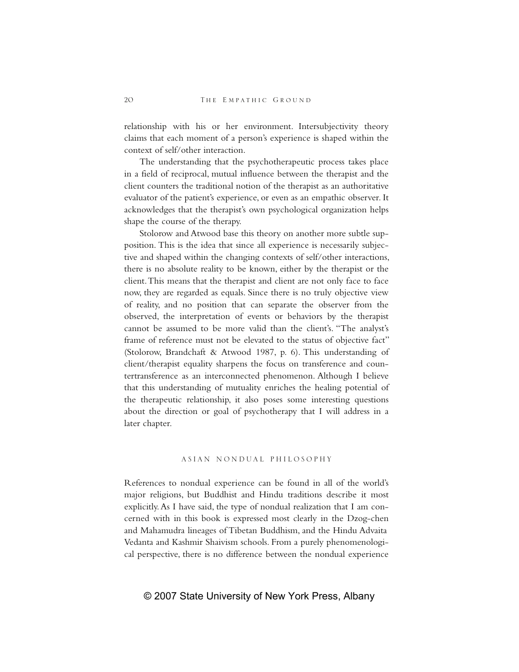relationship with his or her environment. Intersubjectivity theory claims that each moment of a person's experience is shaped within the context of self/other interaction.

The understanding that the psychotherapeutic process takes place in a field of reciprocal, mutual influence between the therapist and the client counters the traditional notion of the therapist as an authoritative evaluator of the patient's experience, or even as an empathic observer. It acknowledges that the therapist's own psychological organization helps shape the course of the therapy.

Stolorow and Atwood base this theory on another more subtle supposition. This is the idea that since all experience is necessarily subjective and shaped within the changing contexts of self/other interactions, there is no absolute reality to be known, either by the therapist or the client.This means that the therapist and client are not only face to face now, they are regarded as equals. Since there is no truly objective view of reality, and no position that can separate the observer from the observed, the interpretation of events or behaviors by the therapist cannot be assumed to be more valid than the client's. "The analyst's frame of reference must not be elevated to the status of objective fact" (Stolorow, Brandchaft & Atwood 1987, p. 6). This understanding of client/therapist equality sharpens the focus on transference and countertransference as an interconnected phenomenon. Although I believe that this understanding of mutuality enriches the healing potential of the therapeutic relationship, it also poses some interesting questions about the direction or goal of psychotherapy that I will address in a later chapter.

#### ASIAN NONDUAL PHILOSOPHY

References to nondual experience can be found in all of the world's major religions, but Buddhist and Hindu traditions describe it most explicitly. As I have said, the type of nondual realization that I am concerned with in this book is expressed most clearly in the Dzog-chen and Mahamudra lineages of Tibetan Buddhism, and the Hindu Advaita Vedanta and Kashmir Shaivism schools. From a purely phenomenological perspective, there is no difference between the nondual experience

### © 2007 State University of New York Press, Albany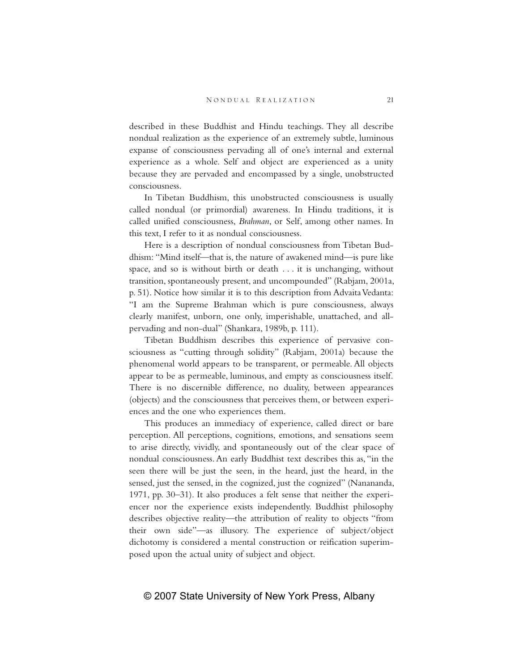described in these Buddhist and Hindu teachings. They all describe nondual realization as the experience of an extremely subtle, luminous expanse of consciousness pervading all of one's internal and external experience as a whole. Self and object are experienced as a unity because they are pervaded and encompassed by a single, unobstructed consciousness.

In Tibetan Buddhism, this unobstructed consciousness is usually called nondual (or primordial) awareness. In Hindu traditions, it is called unified consciousness, *Brahman*, or Self, among other names. In this text, I refer to it as nondual consciousness.

Here is a description of nondual consciousness from Tibetan Buddhism: "Mind itself—that is, the nature of awakened mind—is pure like space, and so is without birth or death . . . it is unchanging, without transition, spontaneously present, and uncompounded" (Rabjam, 2001a, p. 51). Notice how similar it is to this description from Advaita Vedanta: "I am the Supreme Brahman which is pure consciousness, always clearly manifest, unborn, one only, imperishable, unattached, and allpervading and non-dual" (Shankara, 1989b, p. 111).

Tibetan Buddhism describes this experience of pervasive consciousness as "cutting through solidity" (Rabjam, 2001a) because the phenomenal world appears to be transparent, or permeable. All objects appear to be as permeable, luminous, and empty as consciousness itself. There is no discernible difference, no duality, between appearances (objects) and the consciousness that perceives them, or between experiences and the one who experiences them.

This produces an immediacy of experience, called direct or bare perception. All perceptions, cognitions, emotions, and sensations seem to arise directly, vividly, and spontaneously out of the clear space of nondual consciousness. An early Buddhist text describes this as, "in the seen there will be just the seen, in the heard, just the heard, in the sensed, just the sensed, in the cognized, just the cognized" (Nanananda, 1971, pp. 30–31). It also produces a felt sense that neither the experiencer nor the experience exists independently. Buddhist philosophy describes objective reality—the attribution of reality to objects "from their own side"—as illusory. The experience of subject/object dichotomy is considered a mental construction or reification superimposed upon the actual unity of subject and object.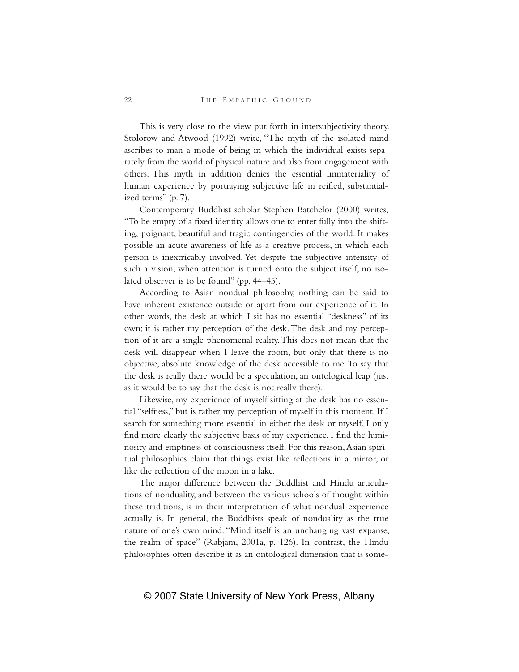This is very close to the view put forth in intersubjectivity theory. Stolorow and Atwood (1992) write, "The myth of the isolated mind ascribes to man a mode of being in which the individual exists separately from the world of physical nature and also from engagement with others. This myth in addition denies the essential immateriality of human experience by portraying subjective life in reified, substantialized terms" (p. 7).

Contemporary Buddhist scholar Stephen Batchelor (2000) writes, "To be empty of a fixed identity allows one to enter fully into the shifting, poignant, beautiful and tragic contingencies of the world. It makes possible an acute awareness of life as a creative process, in which each person is inextricably involved. Yet despite the subjective intensity of such a vision, when attention is turned onto the subject itself, no isolated observer is to be found" (pp. 44–45).

According to Asian nondual philosophy, nothing can be said to have inherent existence outside or apart from our experience of it. In other words, the desk at which I sit has no essential "deskness" of its own; it is rather my perception of the desk. The desk and my perception of it are a single phenomenal reality.This does not mean that the desk will disappear when I leave the room, but only that there is no objective, absolute knowledge of the desk accessible to me.To say that the desk is really there would be a speculation, an ontological leap (just as it would be to say that the desk is not really there).

Likewise, my experience of myself sitting at the desk has no essential "selfness," but is rather my perception of myself in this moment. If I search for something more essential in either the desk or myself, I only find more clearly the subjective basis of my experience. I find the luminosity and emptiness of consciousness itself. For this reason,Asian spiritual philosophies claim that things exist like reflections in a mirror, or like the reflection of the moon in a lake.

The major difference between the Buddhist and Hindu articulations of nonduality, and between the various schools of thought within these traditions, is in their interpretation of what nondual experience actually is. In general, the Buddhists speak of nonduality as the true nature of one's own mind. "Mind itself is an unchanging vast expanse, the realm of space" (Rabjam, 2001a, p. 126). In contrast, the Hindu philosophies often describe it as an ontological dimension that is some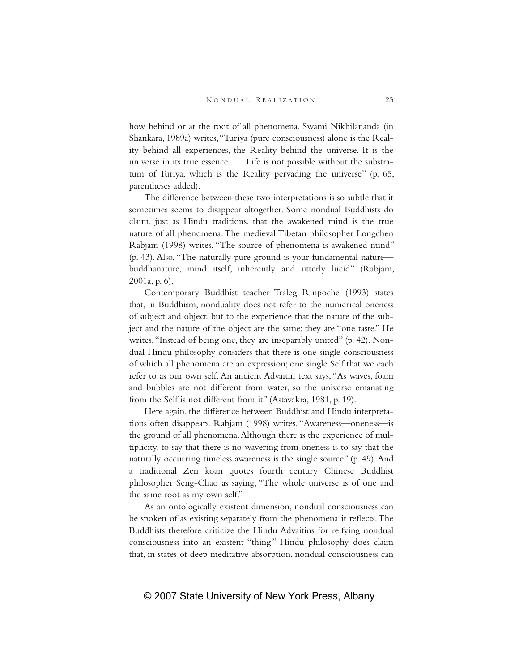how behind or at the root of all phenomena. Swami Nikhilananda (in Shankara, 1989a) writes,"Turiya (pure consciousness) alone is the Reality behind all experiences, the Reality behind the universe. It is the universe in its true essence.... Life is not possible without the substratum of Turiya, which is the Reality pervading the universe" (p. 65, parentheses added).

The difference between these two interpretations is so subtle that it sometimes seems to disappear altogether. Some nondual Buddhists do claim, just as Hindu traditions, that the awakened mind is the true nature of all phenomena.The medieval Tibetan philosopher Longchen Rabjam (1998) writes, "The source of phenomena is awakened mind" (p. 43). Also, "The naturally pure ground is your fundamental nature buddhanature, mind itself, inherently and utterly lucid" (Rabjam, 2001a, p. 6).

Contemporary Buddhist teacher Traleg Rinpoche (1993) states that, in Buddhism, nonduality does not refer to the numerical oneness of subject and object, but to the experience that the nature of the subject and the nature of the object are the same; they are "one taste." He writes,"Instead of being one, they are inseparably united" (p. 42). Nondual Hindu philosophy considers that there is one single consciousness of which all phenomena are an expression; one single Self that we each refer to as our own self. An ancient Advaitin text says,"As waves, foam and bubbles are not different from water, so the universe emanating from the Self is not different from it" (Astavakra, 1981, p. 19).

Here again, the difference between Buddhist and Hindu interpretations often disappears. Rabjam (1998) writes, "Awareness—oneness—is the ground of all phenomena.Although there is the experience of multiplicity, to say that there is no wavering from oneness is to say that the naturally occurring timeless awareness is the single source" (p. 49). And a traditional Zen koan quotes fourth century Chinese Buddhist philosopher Seng-Chao as saying, "The whole universe is of one and the same root as my own self."

As an ontologically existent dimension, nondual consciousness can be spoken of as existing separately from the phenomena it reflects.The Buddhists therefore criticize the Hindu Advaitins for reifying nondual consciousness into an existent "thing." Hindu philosophy does claim that, in states of deep meditative absorption, nondual consciousness can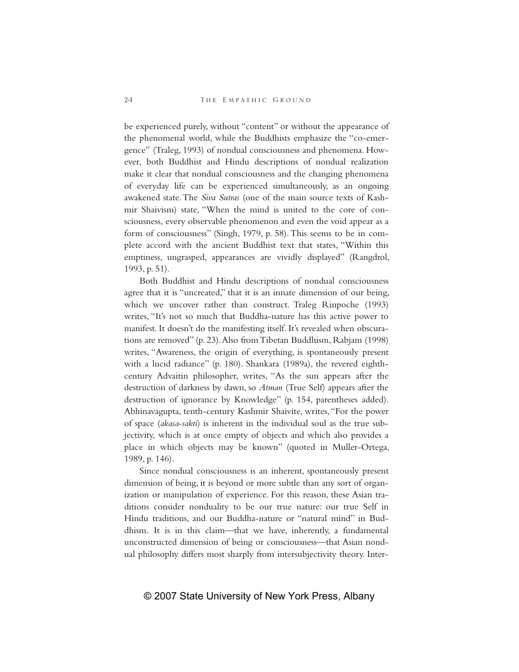be experienced purely, without "content" or without the appearance of the phenomenal world, while the Buddhists emphasize the "co-emergence" (Traleg, 1993) of nondual consciousness and phenomena. However, both Buddhist and Hindu descriptions of nondual realization make it clear that nondual consciousness and the changing phenomena of everyday life can be experienced simultaneously, as an ongoing awakened state.The *Siva Sutras* (one of the main source texts of Kashmir Shaivism) state, "When the mind is united to the core of consciousness, every observable phenomenon and even the void appear as a form of consciousness" (Singh, 1979, p. 58). This seems to be in complete accord with the ancient Buddhist text that states, "Within this emptiness, ungrasped, appearances are vividly displayed" (Rangdrol, 1993, p. 51).

Both Buddhist and Hindu descriptions of nondual consciousness agree that it is "uncreated," that it is an innate dimension of our being, which we uncover rather than construct. Traleg Rinpoche (1993) writes, "It's not so much that Buddha-nature has this active power to manifest. It doesn't do the manifesting itself. It's revealed when obscurations are removed" (p. 23).Also from Tibetan Buddhism, Rabjam (1998) writes, "Awareness, the origin of everything, is spontaneously present with a lucid radiance" (p. 180). Shankara (1989a), the revered eighthcentury Advaitin philosopher, writes, "As the sun appears after the destruction of darkness by dawn, so *Atman* (True Self) appears after the destruction of ignorance by Knowledge" (p. 154, parentheses added). Abhinavagupta, tenth-century Kashmir Shaivite, writes,"For the power of space (*akasa-sakti*) is inherent in the individual soul as the true subjectivity, which is at once empty of objects and which also provides a place in which objects may be known" (quoted in Muller-Ortega, 1989, p. 146).

Since nondual consciousness is an inherent, spontaneously present dimension of being, it is beyond or more subtle than any sort of organization or manipulation of experience. For this reason, these Asian traditions consider nonduality to be our true nature: our true Self in Hindu traditions, and our Buddha-nature or "natural mind" in Buddhism. It is in this claim—that we have, inherently, a fundamental unconstructed dimension of being or consciousness—that Asian nondual philosophy differs most sharply from intersubjectivity theory. Inter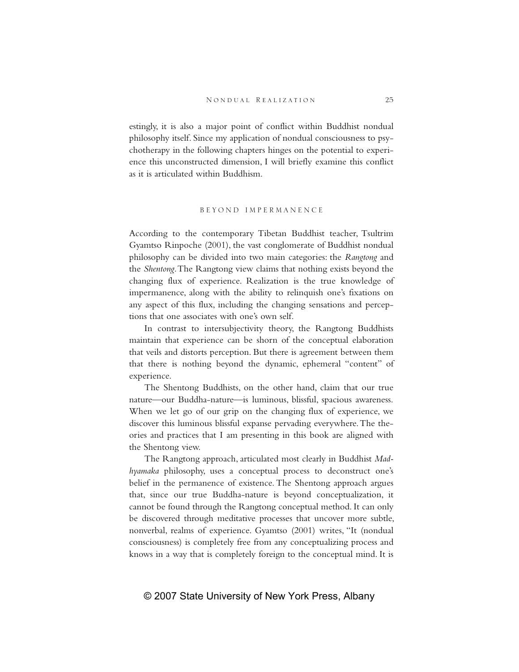estingly, it is also a major point of conflict within Buddhist nondual philosophy itself. Since my application of nondual consciousness to psychotherapy in the following chapters hinges on the potential to experience this unconstructed dimension, I will briefly examine this conflict as it is articulated within Buddhism.

#### BEYOND IMPERMANENCE

According to the contemporary Tibetan Buddhist teacher, Tsultrim Gyamtso Rinpoche (2001), the vast conglomerate of Buddhist nondual philosophy can be divided into two main categories: the *Rangtong* and the *Shentong*.The Rangtong view claims that nothing exists beyond the changing flux of experience. Realization is the true knowledge of impermanence, along with the ability to relinquish one's fixations on any aspect of this flux, including the changing sensations and perceptions that one associates with one's own self.

In contrast to intersubjectivity theory, the Rangtong Buddhists maintain that experience can be shorn of the conceptual elaboration that veils and distorts perception. But there is agreement between them that there is nothing beyond the dynamic, ephemeral "content" of experience.

The Shentong Buddhists, on the other hand, claim that our true nature—our Buddha-nature—is luminous, blissful, spacious awareness. When we let go of our grip on the changing flux of experience, we discover this luminous blissful expanse pervading everywhere.The theories and practices that I am presenting in this book are aligned with the Shentong view.

The Rangtong approach, articulated most clearly in Buddhist *Madhyamaka* philosophy, uses a conceptual process to deconstruct one's belief in the permanence of existence. The Shentong approach argues that, since our true Buddha-nature is beyond conceptualization, it cannot be found through the Rangtong conceptual method. It can only be discovered through meditative processes that uncover more subtle, nonverbal, realms of experience. Gyamtso (2001) writes, "It (nondual consciousness) is completely free from any conceptualizing process and knows in a way that is completely foreign to the conceptual mind. It is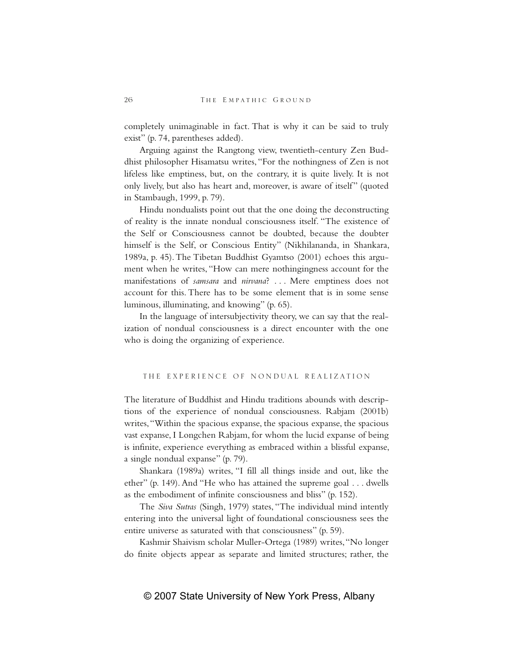completely unimaginable in fact. That is why it can be said to truly exist" (p. 74, parentheses added).

Arguing against the Rangtong view, twentieth-century Zen Buddhist philosopher Hisamatsu writes,"For the nothingness of Zen is not lifeless like emptiness, but, on the contrary, it is quite lively. It is not only lively, but also has heart and, moreover, is aware of itself" (quoted in Stambaugh, 1999, p. 79).

Hindu nondualists point out that the one doing the deconstructing of reality is the innate nondual consciousness itself. "The existence of the Self or Consciousness cannot be doubted, because the doubter himself is the Self, or Conscious Entity" (Nikhilananda, in Shankara, 1989a, p. 45).The Tibetan Buddhist Gyamtso (2001) echoes this argument when he writes, "How can mere nothingingness account for the manifestations of *samsara* and *nirvana*? . . . Mere emptiness does not account for this. There has to be some element that is in some sense luminous, illuminating, and knowing" (p. 65).

In the language of intersubjectivity theory, we can say that the realization of nondual consciousness is a direct encounter with the one who is doing the organizing of experience.

#### THE EXPERIENCE OF NONDUAL REALIZATION

The literature of Buddhist and Hindu traditions abounds with descriptions of the experience of nondual consciousness. Rabjam (2001b) writes,"Within the spacious expanse, the spacious expanse, the spacious vast expanse, I Longchen Rabjam, for whom the lucid expanse of being is infinite, experience everything as embraced within a blissful expanse, a single nondual expanse" (p. 79).

Shankara (1989a) writes, "I fill all things inside and out, like the ether" (p. 149). And "He who has attained the supreme goal . . . dwells as the embodiment of infinite consciousness and bliss" (p. 152).

The *Siva Sutras* (Singh, 1979) states, "The individual mind intently entering into the universal light of foundational consciousness sees the entire universe as saturated with that consciousness" (p. 59).

Kashmir Shaivism scholar Muller-Ortega (1989) writes,"No longer do finite objects appear as separate and limited structures; rather, the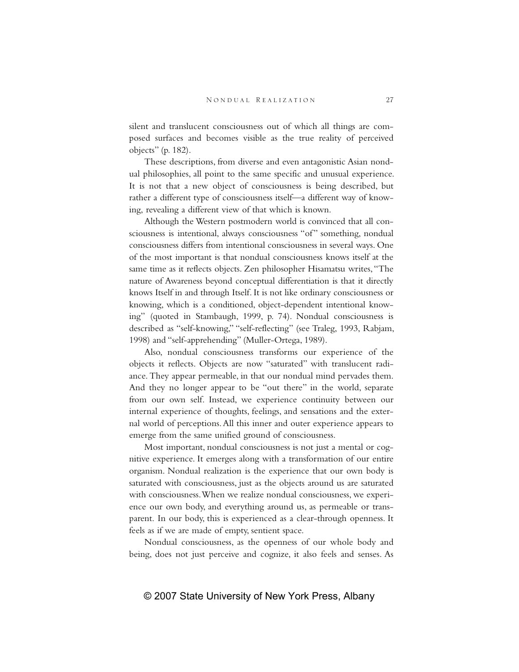silent and translucent consciousness out of which all things are composed surfaces and becomes visible as the true reality of perceived objects" (p. 182).

These descriptions, from diverse and even antagonistic Asian nondual philosophies, all point to the same specific and unusual experience. It is not that a new object of consciousness is being described, but rather a different type of consciousness itself—a different way of knowing, revealing a different view of that which is known.

Although the Western postmodern world is convinced that all consciousness is intentional, always consciousness "of" something, nondual consciousness differs from intentional consciousness in several ways. One of the most important is that nondual consciousness knows itself at the same time as it reflects objects. Zen philosopher Hisamatsu writes,"The nature of Awareness beyond conceptual differentiation is that it directly knows Itself in and through Itself. It is not like ordinary consciousness or knowing, which is a conditioned, object-dependent intentional knowing" (quoted in Stambaugh, 1999, p. 74). Nondual consciousness is described as "self-knowing," "self-reflecting" (see Traleg, 1993, Rabjam, 1998) and "self-apprehending" (Muller-Ortega, 1989).

Also, nondual consciousness transforms our experience of the objects it reflects. Objects are now "saturated" with translucent radiance. They appear permeable, in that our nondual mind pervades them. And they no longer appear to be "out there" in the world, separate from our own self. Instead, we experience continuity between our internal experience of thoughts, feelings, and sensations and the external world of perceptions.All this inner and outer experience appears to emerge from the same unified ground of consciousness.

Most important, nondual consciousness is not just a mental or cognitive experience. It emerges along with a transformation of our entire organism. Nondual realization is the experience that our own body is saturated with consciousness, just as the objects around us are saturated with consciousness.When we realize nondual consciousness, we experience our own body, and everything around us, as permeable or transparent. In our body, this is experienced as a clear-through openness. It feels as if we are made of empty, sentient space.

Nondual consciousness, as the openness of our whole body and being, does not just perceive and cognize, it also feels and senses. As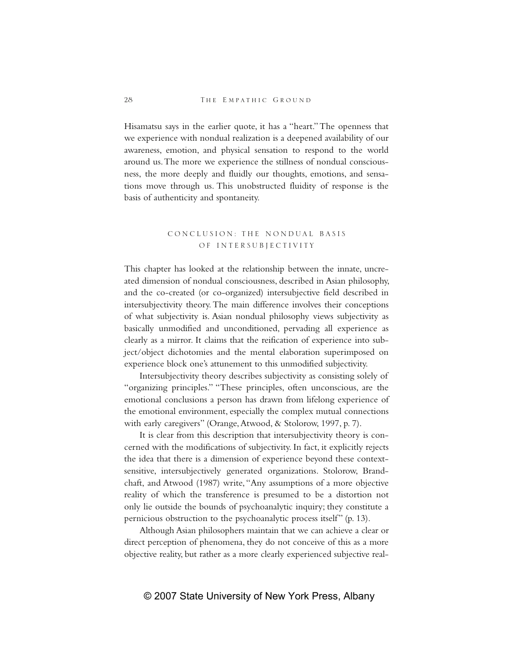Hisamatsu says in the earlier quote, it has a "heart." The openness that we experience with nondual realization is a deepened availability of our awareness, emotion, and physical sensation to respond to the world around us.The more we experience the stillness of nondual consciousness, the more deeply and fluidly our thoughts, emotions, and sensations move through us. This unobstructed fluidity of response is the basis of authenticity and spontaneity.

## CONCLUSION: THE NONDUAL BASIS OF INTERSUBJECTIVITY

This chapter has looked at the relationship between the innate, uncreated dimension of nondual consciousness, described in Asian philosophy, and the co-created (or co-organized) intersubjective field described in intersubjectivity theory. The main difference involves their conceptions of what subjectivity is. Asian nondual philosophy views subjectivity as basically unmodified and unconditioned, pervading all experience as clearly as a mirror. It claims that the reification of experience into subject/object dichotomies and the mental elaboration superimposed on experience block one's attunement to this unmodified subjectivity.

Intersubjectivity theory describes subjectivity as consisting solely of "organizing principles." "These principles, often unconscious, are the emotional conclusions a person has drawn from lifelong experience of the emotional environment, especially the complex mutual connections with early caregivers" (Orange,Atwood, & Stolorow, 1997, p. 7).

It is clear from this description that intersubjectivity theory is concerned with the modifications of subjectivity. In fact, it explicitly rejects the idea that there is a dimension of experience beyond these contextsensitive, intersubjectively generated organizations. Stolorow, Brandchaft, and Atwood (1987) write,"Any assumptions of a more objective reality of which the transference is presumed to be a distortion not only lie outside the bounds of psychoanalytic inquiry; they constitute a pernicious obstruction to the psychoanalytic process itself" (p. 13).

Although Asian philosophers maintain that we can achieve a clear or direct perception of phenomena, they do not conceive of this as a more objective reality, but rather as a more clearly experienced subjective real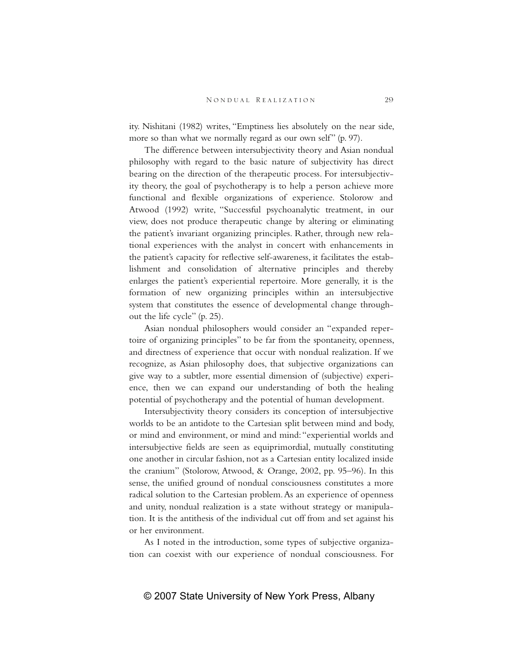ity. Nishitani (1982) writes, "Emptiness lies absolutely on the near side, more so than what we normally regard as our own self" (p. 97).

The difference between intersubjectivity theory and Asian nondual philosophy with regard to the basic nature of subjectivity has direct bearing on the direction of the therapeutic process. For intersubjectivity theory, the goal of psychotherapy is to help a person achieve more functional and flexible organizations of experience. Stolorow and Atwood (1992) write, "Successful psychoanalytic treatment, in our view, does not produce therapeutic change by altering or eliminating the patient's invariant organizing principles. Rather, through new relational experiences with the analyst in concert with enhancements in the patient's capacity for reflective self-awareness, it facilitates the establishment and consolidation of alternative principles and thereby enlarges the patient's experiential repertoire. More generally, it is the formation of new organizing principles within an intersubjective system that constitutes the essence of developmental change throughout the life cycle" (p. 25).

Asian nondual philosophers would consider an "expanded repertoire of organizing principles" to be far from the spontaneity, openness, and directness of experience that occur with nondual realization. If we recognize, as Asian philosophy does, that subjective organizations can give way to a subtler, more essential dimension of (subjective) experience, then we can expand our understanding of both the healing potential of psychotherapy and the potential of human development.

Intersubjectivity theory considers its conception of intersubjective worlds to be an antidote to the Cartesian split between mind and body, or mind and environment, or mind and mind:"experiential worlds and intersubjective fields are seen as equiprimordial, mutually constituting one another in circular fashion, not as a Cartesian entity localized inside the cranium" (Stolorow, Atwood, & Orange, 2002, pp. 95–96). In this sense, the unified ground of nondual consciousness constitutes a more radical solution to the Cartesian problem.As an experience of openness and unity, nondual realization is a state without strategy or manipulation. It is the antithesis of the individual cut off from and set against his or her environment.

As I noted in the introduction, some types of subjective organization can coexist with our experience of nondual consciousness. For